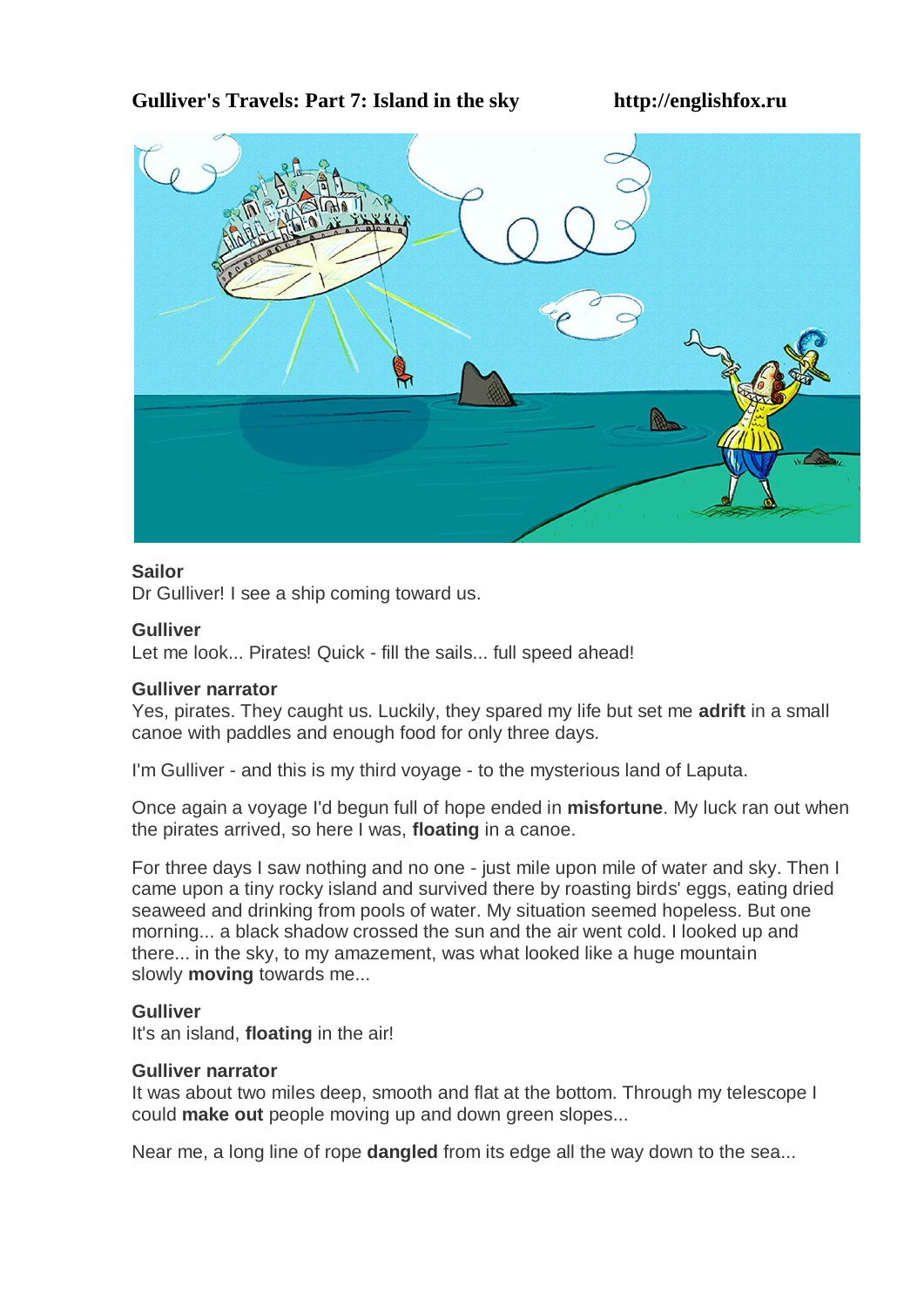# **Gulliver's Travels: Part 7: Island in the sky http://englishfox.ru**



## **Sailor**

Dr Gulliver! I see a ship coming toward us.

#### **Gulliver**

Let me look... Pirates! Quick - fill the sails... full speed ahead!

## **Gulliver narrator**

Yes, pirates. They caught us. Luckily, they spared my life but set me **adrift** in a small canoe with paddles and enough food for only three days.

I'm Gulliver - and this is my third voyage - to the mysterious land of Laputa.

Once again a voyage I'd begun full of hope ended in **misfortune**. My luck ran out when the pirates arrived, so here I was, **floating** in a canoe.

For three days I saw nothing and no one - just mile upon mile of water and sky. Then I came upon a tiny rocky island and survived there by roasting birds' eggs, eating dried seaweed and drinking from pools of water. My situation seemed hopeless. But one morning... a black shadow crossed the sun and the air went cold. I looked up and there... in the sky, to my amazement, was what looked like a huge mountain slowly **moving** towards me...

## **Gulliver**

It's an island, **floating** in the air!

#### **Gulliver narrator**

It was about two miles deep, smooth and flat at the bottom. Through my telescope I could **make out** people moving up and down green slopes...

Near me, a long line of rope **dangled** from its edge all the way down to the sea...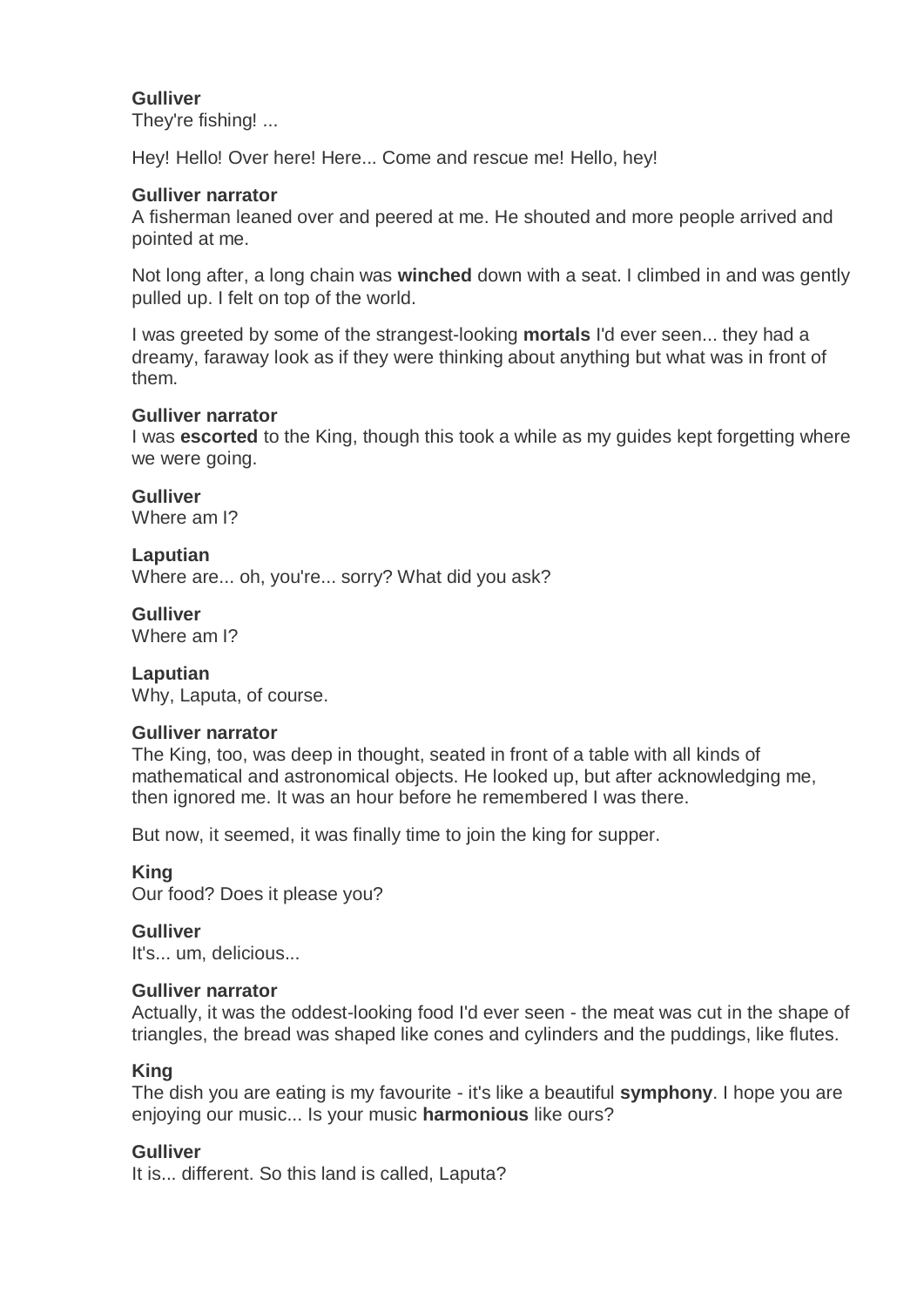## **Gulliver**

They're fishing! ...

Hey! Hello! Over here! Here... Come and rescue me! Hello, hey!

## **Gulliver narrator**

A fisherman leaned over and peered at me. He shouted and more people arrived and pointed at me.

Not long after, a long chain was **winched** down with a seat. I climbed in and was gently pulled up. I felt on top of the world.

I was greeted by some of the strangest-looking **mortals** I'd ever seen... they had a dreamy, faraway look as if they were thinking about anything but what was in front of them.

## **Gulliver narrator**

I was **escorted** to the King, though this took a while as my guides kept forgetting where we were going.

**Gulliver**

Where am I?

## **Laputian**

Where are... oh, you're... sorry? What did you ask?

# **Gulliver**

Where am I?

# **Laputian**

Why, Laputa, of course.

## **Gulliver narrator**

The King, too, was deep in thought, seated in front of a table with all kinds of mathematical and astronomical objects. He looked up, but after acknowledging me, then ignored me. It was an hour before he remembered I was there.

But now, it seemed, it was finally time to join the king for supper.

**King** Our food? Does it please you?

**Gulliver** It's... um, delicious...

## **Gulliver narrator**

Actually, it was the oddest-looking food I'd ever seen - the meat was cut in the shape of triangles, the bread was shaped like cones and cylinders and the puddings, like flutes.

## **King**

The dish you are eating is my favourite - it's like a beautiful **symphony**. I hope you are enjoying our music... Is your music **harmonious** like ours?

# **Gulliver**

It is... different. So this land is called, Laputa?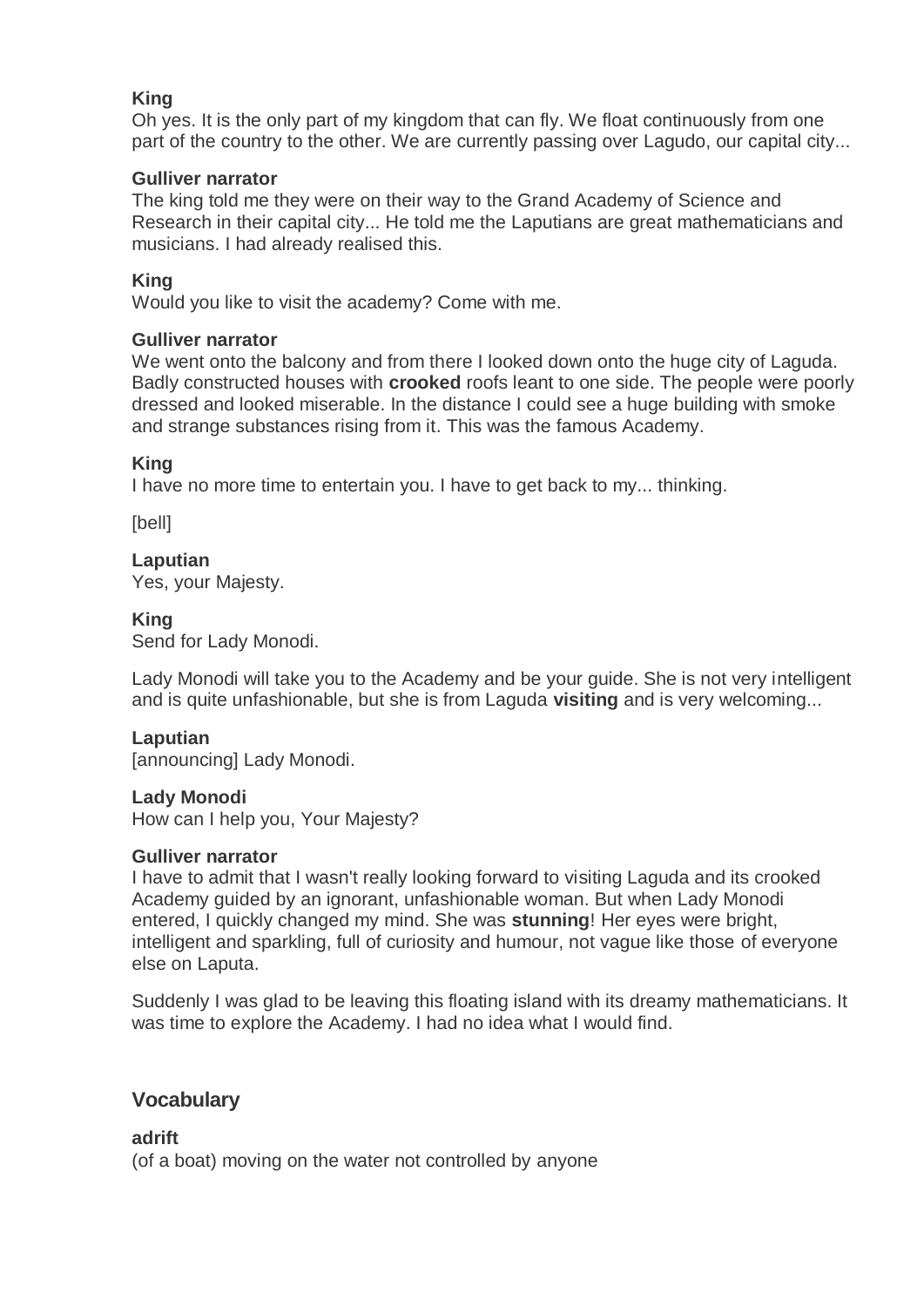## **King**

Oh yes. It is the only part of my kingdom that can fly. We float continuously from one part of the country to the other. We are currently passing over Lagudo, our capital city...

## **Gulliver narrator**

The king told me they were on their way to the Grand Academy of Science and Research in their capital city... He told me the Laputians are great mathematicians and musicians. I had already realised this.

#### **King**

Would you like to visit the academy? Come with me.

#### **Gulliver narrator**

We went onto the balcony and from there I looked down onto the huge city of Laguda. Badly constructed houses with **crooked** roofs leant to one side. The people were poorly dressed and looked miserable. In the distance I could see a huge building with smoke and strange substances rising from it. This was the famous Academy.

#### **King**

I have no more time to entertain you. I have to get back to my... thinking.

[bell]

#### **Laputian**

Yes, your Majesty.

## **King**

Send for Lady Monodi.

Lady Monodi will take you to the Academy and be your guide. She is not very intelligent and is quite unfashionable, but she is from Laguda **visiting** and is very welcoming...

## **Laputian**

[announcing] Lady Monodi.

#### **Lady Monodi**

How can I help you, Your Majesty?

#### **Gulliver narrator**

I have to admit that I wasn't really looking forward to visiting Laguda and its crooked Academy guided by an ignorant, unfashionable woman. But when Lady Monodi entered, I quickly changed my mind. She was **stunning**! Her eyes were bright, intelligent and sparkling, full of curiosity and humour, not vague like those of everyone else on Laputa.

Suddenly I was glad to be leaving this floating island with its dreamy mathematicians. It was time to explore the Academy. I had no idea what I would find.

# **Vocabulary**

**adrift**

(of a boat) moving on the water not controlled by anyone